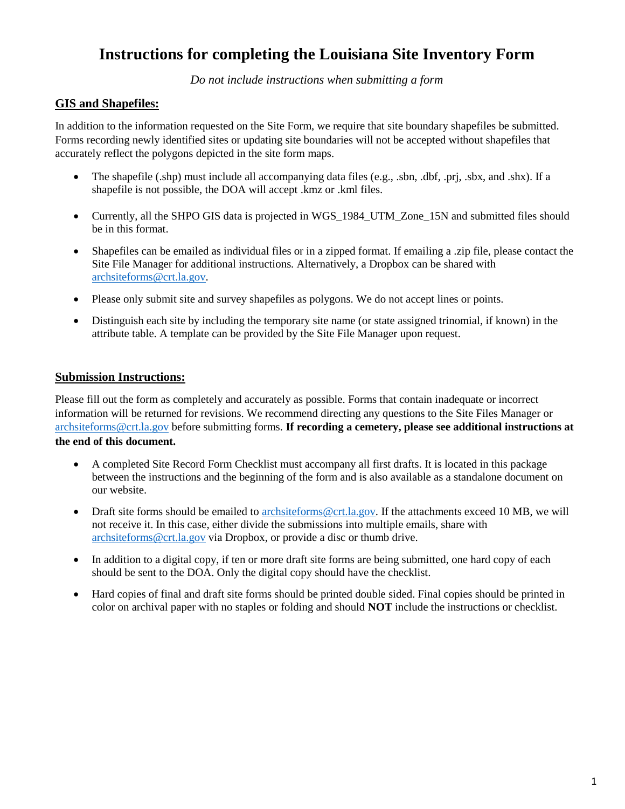## **Instructions for completing the Louisiana Site Inventory Form**

*Do not include instructions when submitting a form*

#### **GIS and Shapefiles:**

In addition to the information requested on the Site Form, we require that site boundary shapefiles be submitted. Forms recording newly identified sites or updating site boundaries will not be accepted without shapefiles that accurately reflect the polygons depicted in the site form maps.

- The shapefile (.shp) must include all accompanying data files (e.g., .sbn, .dbf, .prj, .sbx, and .shx). If a shapefile is not possible, the DOA will accept .kmz or .kml files.
- Currently, all the SHPO GIS data is projected in WGS 1984 UTM Zone 15N and submitted files should be in this format.
- Shapefiles can be emailed as individual files or in a zipped format. If emailing a .zip file, please contact the Site File Manager for additional instructions. Alternatively, a Dropbox can be shared with [archsiteforms@crt.la.gov.](mailto:archsiteforms@crt.la.gov)
- Please only submit site and survey shapefiles as polygons. We do not accept lines or points.
- Distinguish each site by including the temporary site name (or state assigned trinomial, if known) in the attribute table. A template can be provided by the Site File Manager upon request.

#### **Submission Instructions:**

Please fill out the form as completely and accurately as possible. Forms that contain inadequate or incorrect information will be returned for revisions. We recommend directing any questions to the Site Files Manager or [archsiteforms@crt.la.gov](mailto:archsiteforms@crt.la.gov) before submitting forms. **If recording a cemetery, please see additional instructions at the end of this document.**

- A completed Site Record Form Checklist must accompany all first drafts. It is located in this package between the instructions and the beginning of the form and is also available as a standalone document on our website.
- Draft site forms should be emailed to [archsiteforms@crt.la.gov.](mailto:archsiteforms@crt.la.gov) If the attachments exceed 10 MB, we will not receive it. In this case, either divide the submissions into multiple emails, share with [archsiteforms@crt.la.gov](mailto:archsiteforms@crt.la.gov) via Dropbox, or provide a disc or thumb drive.
- In addition to a digital copy, if ten or more draft site forms are being submitted, one hard copy of each should be sent to the DOA. Only the digital copy should have the checklist.
- Hard copies of final and draft site forms should be printed double sided. Final copies should be printed in color on archival paper with no staples or folding and should **NOT** include the instructions or checklist.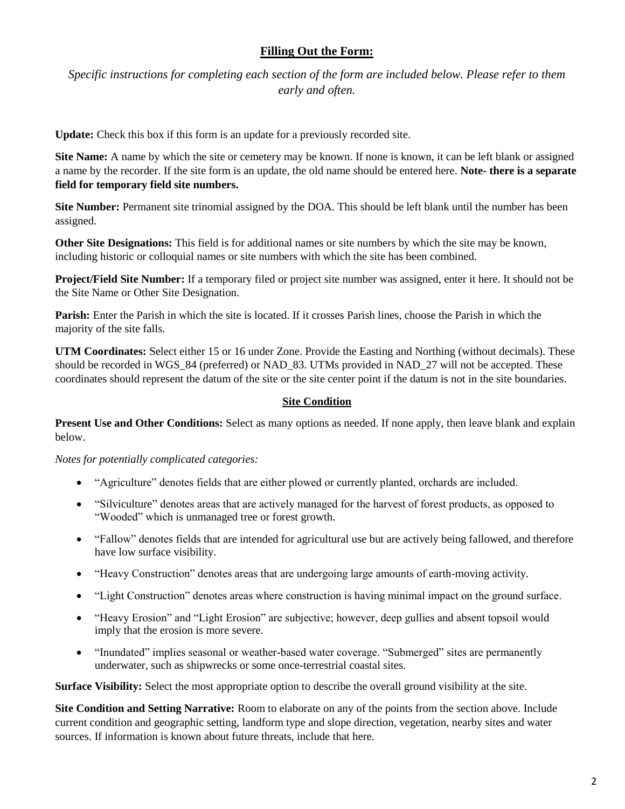## **Filling Out the Form:**

*Specific instructions for completing each section of the form are included below. Please refer to them early and often.*

**Update:** Check this box if this form is an update for a previously recorded site.

**Site Name:** A name by which the site or cemetery may be known. If none is known, it can be left blank or assigned a name by the recorder. If the site form is an update, the old name should be entered here. **Note- there is a separate field for temporary field site numbers.**

**Site Number:** Permanent site trinomial assigned by the DOA. This should be left blank until the number has been assigned.

**Other Site Designations:** This field is for additional names or site numbers by which the site may be known, including historic or colloquial names or site numbers with which the site has been combined.

**Project/Field Site Number:** If a temporary filed or project site number was assigned, enter it here. It should not be the Site Name or Other Site Designation.

**Parish:** Enter the Parish in which the site is located. If it crosses Parish lines, choose the Parish in which the majority of the site falls.

**UTM Coordinates:** Select either 15 or 16 under Zone. Provide the Easting and Northing (without decimals). These should be recorded in WGS\_84 (preferred) or NAD\_83. UTMs provided in NAD\_27 will not be accepted. These coordinates should represent the datum of the site or the site center point if the datum is not in the site boundaries.

#### **Site Condition**

**Present Use and Other Conditions:** Select as many options as needed. If none apply, then leave blank and explain below.

*Notes for potentially complicated categories:*

- "Agriculture" denotes fields that are either plowed or currently planted, orchards are included.
- "Silviculture" denotes areas that are actively managed for the harvest of forest products, as opposed to "Wooded" which is unmanaged tree or forest growth.
- "Fallow" denotes fields that are intended for agricultural use but are actively being fallowed, and therefore have low surface visibility.
- "Heavy Construction" denotes areas that are undergoing large amounts of earth-moving activity.
- "Light Construction" denotes areas where construction is having minimal impact on the ground surface.
- "Heavy Erosion" and "Light Erosion" are subjective; however, deep gullies and absent topsoil would imply that the erosion is more severe.
- "Inundated" implies seasonal or weather-based water coverage. "Submerged" sites are permanently underwater, such as shipwrecks or some once-terrestrial coastal sites.

**Surface Visibility:** Select the most appropriate option to describe the overall ground visibility at the site.

**Site Condition and Setting Narrative:** Room to elaborate on any of the points from the section above. Include current condition and geographic setting, landform type and slope direction, vegetation, nearby sites and water sources. If information is known about future threats, include that here.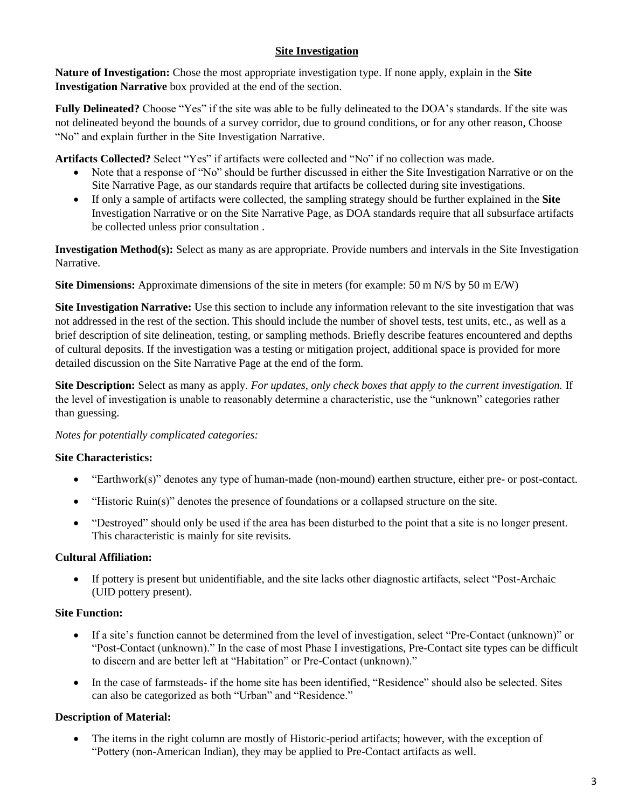## **Site Investigation**

**Nature of Investigation:** Chose the most appropriate investigation type. If none apply, explain in the **Site Investigation Narrative** box provided at the end of the section.

**Fully Delineated?** Choose "Yes" if the site was able to be fully delineated to the DOA's standards. If the site was not delineated beyond the bounds of a survey corridor, due to ground conditions, or for any other reason, Choose "No" and explain further in the Site Investigation Narrative.

**Artifacts Collected?** Select "Yes" if artifacts were collected and "No" if no collection was made.

- Note that a response of "No" should be further discussed in either the Site Investigation Narrative or on the Site Narrative Page, as our standards require that artifacts be collected during site investigations.
- If only a sample of artifacts were collected, the sampling strategy should be further explained in the **Site**  Investigation Narrative or on the Site Narrative Page, as DOA standards require that all subsurface artifacts be collected unless prior consultation .

**Investigation Method(s):** Select as many as are appropriate. Provide numbers and intervals in the Site Investigation Narrative.

**Site Dimensions:** Approximate dimensions of the site in meters (for example: 50 m N/S by 50 m E/W)

**Site Investigation Narrative:** Use this section to include any information relevant to the site investigation that was not addressed in the rest of the section. This should include the number of shovel tests, test units, etc., as well as a brief description of site delineation, testing, or sampling methods. Briefly describe features encountered and depths of cultural deposits. If the investigation was a testing or mitigation project, additional space is provided for more detailed discussion on the Site Narrative Page at the end of the form.

**Site Description:** Select as many as apply. *For updates, only check boxes that apply to the current investigation.* If the level of investigation is unable to reasonably determine a characteristic, use the "unknown" categories rather than guessing.

*Notes for potentially complicated categories:*

#### **Site Characteristics:**

- "Earthwork(s)" denotes any type of human-made (non-mound) earthen structure, either pre- or post-contact.
- "Historic Ruin(s)" denotes the presence of foundations or a collapsed structure on the site.
- "Destroyed" should only be used if the area has been disturbed to the point that a site is no longer present. This characteristic is mainly for site revisits.

#### **Cultural Affiliation:**

 If pottery is present but unidentifiable, and the site lacks other diagnostic artifacts, select "Post-Archaic (UID pottery present).

#### **Site Function:**

- If a site's function cannot be determined from the level of investigation, select "Pre-Contact (unknown)" or "Post-Contact (unknown)." In the case of most Phase I investigations, Pre-Contact site types can be difficult to discern and are better left at "Habitation" or Pre-Contact (unknown)."
- In the case of farmsteads- if the home site has been identified, "Residence" should also be selected. Sites can also be categorized as both "Urban" and "Residence."

#### **Description of Material:**

 The items in the right column are mostly of Historic-period artifacts; however, with the exception of "Pottery (non-American Indian), they may be applied to Pre-Contact artifacts as well.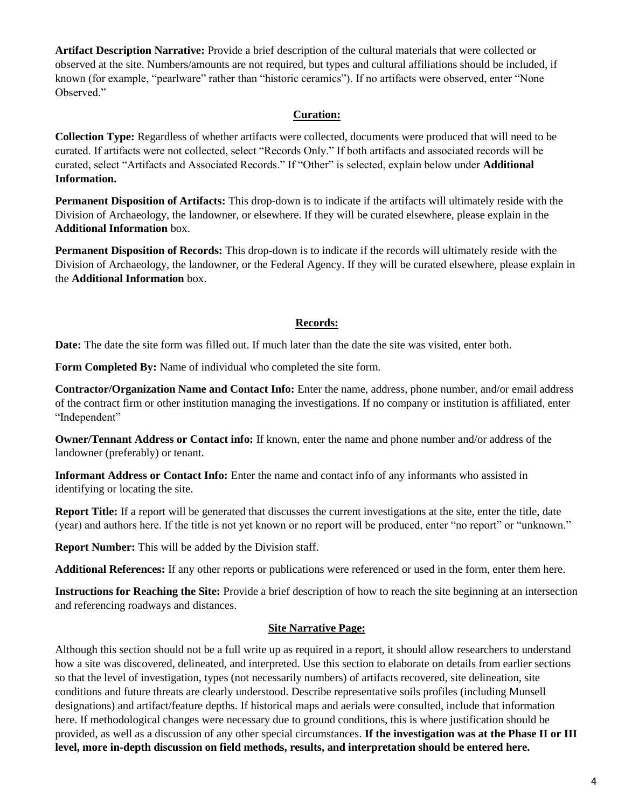**Artifact Description Narrative:** Provide a brief description of the cultural materials that were collected or observed at the site. Numbers/amounts are not required, but types and cultural affiliations should be included, if known (for example, "pearlware" rather than "historic ceramics"). If no artifacts were observed, enter "None Observed."

#### **Curation:**

**Collection Type:** Regardless of whether artifacts were collected, documents were produced that will need to be curated. If artifacts were not collected, select "Records Only." If both artifacts and associated records will be curated, select "Artifacts and Associated Records." If "Other" is selected, explain below under **Additional Information.**

**Permanent Disposition of Artifacts:** This drop-down is to indicate if the artifacts will ultimately reside with the Division of Archaeology, the landowner, or elsewhere. If they will be curated elsewhere, please explain in the **Additional Information** box.

**Permanent Disposition of Records:** This drop-down is to indicate if the records will ultimately reside with the Division of Archaeology, the landowner, or the Federal Agency. If they will be curated elsewhere, please explain in the **Additional Information** box.

#### **Records:**

**Date:** The date the site form was filled out. If much later than the date the site was visited, enter both.

**Form Completed By:** Name of individual who completed the site form.

**Contractor/Organization Name and Contact Info:** Enter the name, address, phone number, and/or email address of the contract firm or other institution managing the investigations. If no company or institution is affiliated, enter "Independent"

**Owner/Tennant Address or Contact info:** If known, enter the name and phone number and/or address of the landowner (preferably) or tenant.

**Informant Address or Contact Info:** Enter the name and contact info of any informants who assisted in identifying or locating the site.

**Report Title:** If a report will be generated that discusses the current investigations at the site, enter the title, date (year) and authors here. If the title is not yet known or no report will be produced, enter "no report" or "unknown."

**Report Number:** This will be added by the Division staff.

**Additional References:** If any other reports or publications were referenced or used in the form, enter them here.

**Instructions for Reaching the Site:** Provide a brief description of how to reach the site beginning at an intersection and referencing roadways and distances.

#### **Site Narrative Page:**

Although this section should not be a full write up as required in a report, it should allow researchers to understand how a site was discovered, delineated, and interpreted. Use this section to elaborate on details from earlier sections so that the level of investigation, types (not necessarily numbers) of artifacts recovered, site delineation, site conditions and future threats are clearly understood. Describe representative soils profiles (including Munsell designations) and artifact/feature depths. If historical maps and aerials were consulted, include that information here. If methodological changes were necessary due to ground conditions, this is where justification should be provided, as well as a discussion of any other special circumstances. **If the investigation was at the Phase II or III level, more in-depth discussion on field methods, results, and interpretation should be entered here.**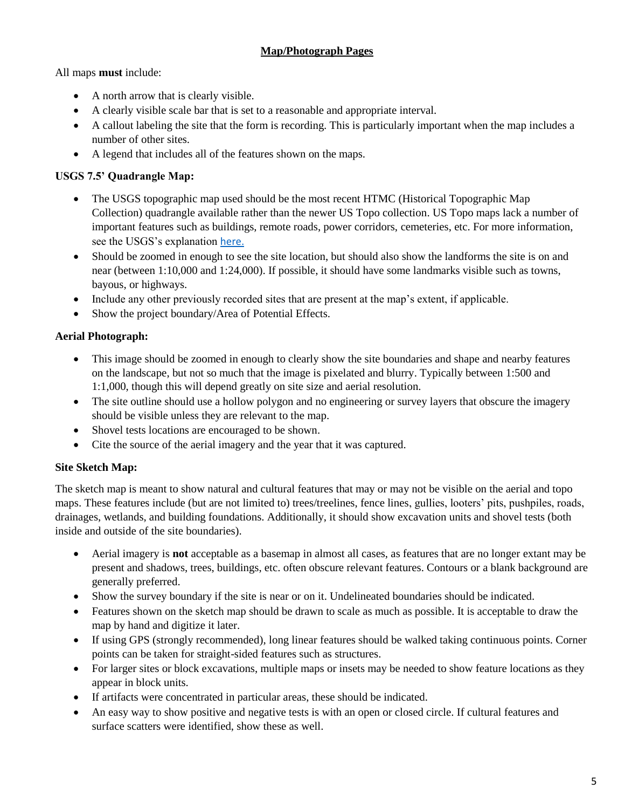## **Map/Photograph Pages**

All maps **must** include:

- A north arrow that is clearly visible.
- A clearly visible scale bar that is set to a reasonable and appropriate interval.
- A callout labeling the site that the form is recording. This is particularly important when the map includes a number of other sites.
- A legend that includes all of the features shown on the maps.

## **USGS 7.5' Quadrangle Map:**

- The USGS topographic map used should be the most recent HTMC (Historical Topographic Map Collection) quadrangle available rather than the newer US Topo collection. US Topo maps lack a number of important features such as buildings, remote roads, power corridors, cemeteries, etc. For more information, see the USGS's explanation [here.](https://www.usgs.gov/faqs/why-are-there-no-power-lines-pipelines-libraries-trails-etc-us-topo-maps?qt-news_science_products=0#qt-news_science_products)
- Should be zoomed in enough to see the site location, but should also show the landforms the site is on and near (between 1:10,000 and 1:24,000). If possible, it should have some landmarks visible such as towns, bayous, or highways.
- Include any other previously recorded sites that are present at the map's extent, if applicable.
- Show the project boundary/Area of Potential Effects.

## **Aerial Photograph:**

- This image should be zoomed in enough to clearly show the site boundaries and shape and nearby features on the landscape, but not so much that the image is pixelated and blurry. Typically between 1:500 and 1:1,000, though this will depend greatly on site size and aerial resolution.
- The site outline should use a hollow polygon and no engineering or survey layers that obscure the imagery should be visible unless they are relevant to the map.
- Shovel tests locations are encouraged to be shown.
- Cite the source of the aerial imagery and the year that it was captured.

## **Site Sketch Map:**

The sketch map is meant to show natural and cultural features that may or may not be visible on the aerial and topo maps. These features include (but are not limited to) trees/treelines, fence lines, gullies, looters' pits, pushpiles, roads, drainages, wetlands, and building foundations. Additionally, it should show excavation units and shovel tests (both inside and outside of the site boundaries).

- Aerial imagery is **not** acceptable as a basemap in almost all cases, as features that are no longer extant may be present and shadows, trees, buildings, etc. often obscure relevant features. Contours or a blank background are generally preferred.
- Show the survey boundary if the site is near or on it. Undelineated boundaries should be indicated.
- Features shown on the sketch map should be drawn to scale as much as possible. It is acceptable to draw the map by hand and digitize it later.
- If using GPS (strongly recommended), long linear features should be walked taking continuous points. Corner points can be taken for straight-sided features such as structures.
- For larger sites or block excavations, multiple maps or insets may be needed to show feature locations as they appear in block units.
- If artifacts were concentrated in particular areas, these should be indicated.
- An easy way to show positive and negative tests is with an open or closed circle. If cultural features and surface scatters were identified, show these as well.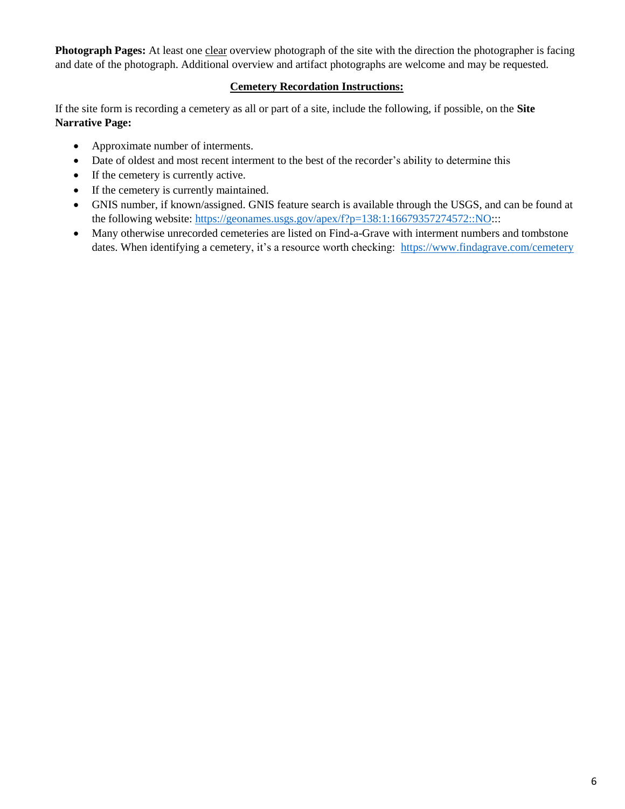**Photograph Pages:** At least one clear overview photograph of the site with the direction the photographer is facing and date of the photograph. Additional overview and artifact photographs are welcome and may be requested.

#### **Cemetery Recordation Instructions:**

If the site form is recording a cemetery as all or part of a site, include the following, if possible, on the **Site Narrative Page:**

- Approximate number of interments.
- Date of oldest and most recent interment to the best of the recorder's ability to determine this
- If the cemetery is currently active.
- If the cemetery is currently maintained.
- GNIS number, if known/assigned. GNIS feature search is available through the USGS, and can be found at the following website: [https://geonames.usgs.gov/apex/f?p=138:1:16679357274572::NO:](https://geonames.usgs.gov/apex/f?p=138:1:16679357274572::NO)::
- Many otherwise unrecorded cemeteries are listed on Find-a-Grave with interment numbers and tombstone dates. When identifying a cemetery, it's a resource worth checking:<https://www.findagrave.com/cemetery>